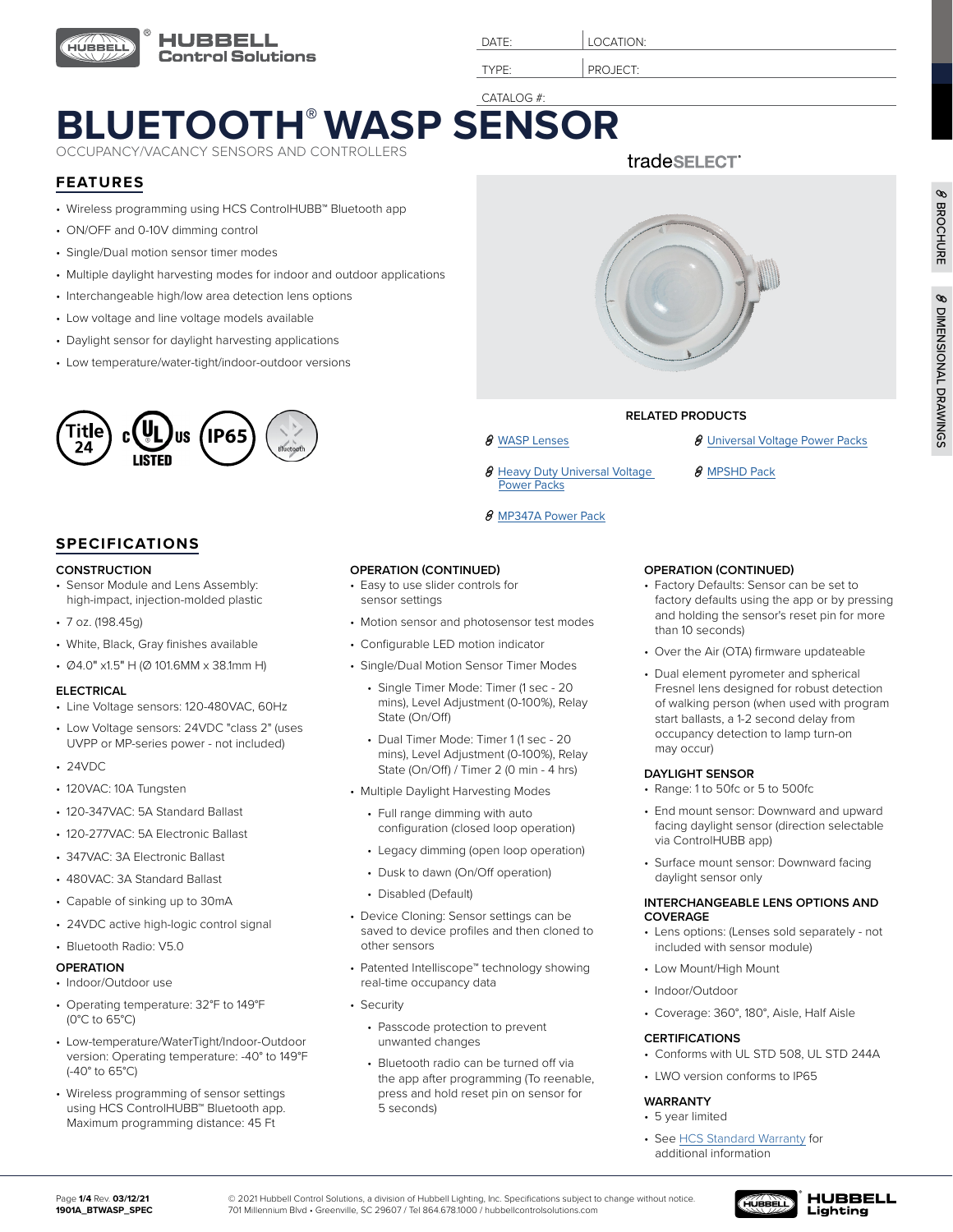

DATE: **LOCATION:** 

TYPE: PROJECT:

8 Heavy Duty Universal Voltage

[Power Packs](https://www.hubbell.com/hubbellcontrolsolutions/en/Products/Lighting-Controls/Lighting-Controls-Sensors/Power-Packs-and-Controlled-Relays/Heavy-Duty-Universal-Voltage-Power-Packs/p/2157873)

8 [MP347A Power Pack](https://www.hubbell.com/hubbellcontrolsolutions/en/Products/Lighting-Controls/Lighting-Controls-Sensors/Power-Packs-and-Controlled-Relays/MP347A-Power-Pack/p/220935)

## CATALOG #: **[BLUETOOTH® WASP SENSOR](https://www.hubbell.com/hubbellcontrolsolutions/en/p/4562349)**

OCCUPANCY/VACANCY SENSORS AND CONTROLLERS

### **FEATURES**

- Wireless programming using HCS ControlHUBB™ Bluetooth app
- ON/OFF and 0-10V dimming control
- Single/Dual motion sensor timer modes
- Multiple daylight harvesting modes for indoor and outdoor applications
- Interchangeable high/low area detection lens options
- Low voltage and line voltage models available
- Daylight sensor for daylight harvesting applications
- Low temperature/water-tight/indoor-outdoor versions



#### **SPECIFICATIONS**

#### **CONSTRUCTION**

- Sensor Module and Lens Assembly: high-impact, injection-molded plastic
- 7 oz. (198.45g)
- White, Black, Gray finishes available
- Ø4.0" x1.5" H (Ø 101.6MM x 38.1mm H)

#### **ELECTRICAL**

- Line Voltage sensors: 120-480VAC, 60Hz
- Low Voltage sensors: 24VDC "class 2" (uses UVPP or MP-series power - not included)
- 24VDC
- 120VAC: 10A Tungsten
- 120-347VAC: 5A Standard Ballast
- 120-277VAC: 5A Electronic Ballast
- 347VAC: 3A Electronic Ballast
- 480VAC: 3A Standard Ballast
- Capable of sinking up to 30mA
- 24VDC active high-logic control signal

#### • Bluetooth Radio: V5.0

#### **OPERATION**

- Indoor/Outdoor use
- Operating temperature: 32°F to 149°F (0°C to 65°C)
- Low-temperature/WaterTight/Indoor-Outdoor version: Operating temperature: -40° to 149°F (-40° to 65°C)
- Wireless programming of sensor settings using HCS ControlHUBB™ Bluetooth app. Maximum programming distance: 45 Ft

| <b>OPERATION (CONTINUED)</b> |
|------------------------------|
|                              |

- Easy to use slider controls for sensor settings
- Motion sensor and photosensor test modes
- Configurable LED motion indicator
- Single/Dual Motion Sensor Timer Modes
	- Single Timer Mode: Timer (1 sec 20 mins), Level Adjustment (0-100%), Relay State (On/Off)
	- Dual Timer Mode: Timer 1 (1 sec 20 mins), Level Adjustment (0-100%), Relay State (On/Off) / Timer 2 (0 min - 4 hrs)
- Multiple Daylight Harvesting Modes
	- Full range dimming with auto configuration (closed loop operation)
	- Legacy dimming (open loop operation)
	- Dusk to dawn (On/Off operation)
	- Disabled (Default)
- Device Cloning: Sensor settings can be saved to device profiles and then cloned to other sensors
- Patented Intelliscope™ technology showing real-time occupancy data
- Security
	- Passcode protection to prevent unwanted changes
	- Bluetooth radio can be turned off via the app after programming (To reenable, press and hold reset pin on sensor for 5 seconds)

## tradeSELECT



#### **RELATED PRODUCTS**

- **8** [WASP Lenses](https://hubbellcdn.com/specsheet/2104_WASP2_Lens_Options.pdf) **8** [Universal Voltage Power Packs](https://www.hubbell.com/hubbellcontrolsolutions/en/Products/Lighting-Controls/Lighting-Controls-Sensors/Power-Packs-and-Controlled-Relays/Universal-Voltage-Power-Packs/p/220965)
	- 8 [MPSHD Pack](https://www.hubbell.com/hubbellcontrolsolutions/en/Products/Lighting-Controls/Lighting-Controls-Sensors/Power-Packs-and-Controlled-Relays/MPSHD/p/2157868)
	- **OPERATION (CONTINUED)**
	- Factory Defaults: Sensor can be set to factory defaults using the app or by pressing and holding the sensor's reset pin for more than 10 seconds)
	- Over the Air (OTA) firmware updateable
	- Dual element pyrometer and spherical Fresnel lens designed for robust detection of walking person (when used with program start ballasts, a 1-2 second delay from occupancy detection to lamp turn-on may occur)

#### **DAYLIGHT SENSOR**

- Range: 1 to 50fc or 5 to 500fc
- End mount sensor: Downward and upward facing daylight sensor (direction selectable via ControlHUBB app)
- Surface mount sensor: Downward facing daylight sensor only

#### **INTERCHANGEABLE LENS OPTIONS AND COVERAGE**

- Lens options: (Lenses sold separately not included with sensor module)
- Low Mount/High Mount
- Indoor/Outdoor
- Coverage: 360°, 180°, Aisle, Half Aisle

#### **CERTIFICATIONS**

- Conforms with UL STD 508, UL STD 244A
- LWO version conforms to IP65

#### **WARRANTY**

- 5 year limited
- See [HCS Standard Warranty](https://hubbellcdn.com/ohwassets/HLI/hli/resources/warranty/files/Hubbell%20Control%20Solutions%20Limited%20Warranty%20-%2011%20Jan%202016.pdf) for additional information

© 2021 Hubbell Control Solutions, a division of Hubbell Lighting, Inc. Specifications subject to change without notice. 701 Millennium Blvd • Greenville, SC 29607 / Tel 864.678.1000 / hubbellcontrolsolutions.com



Ø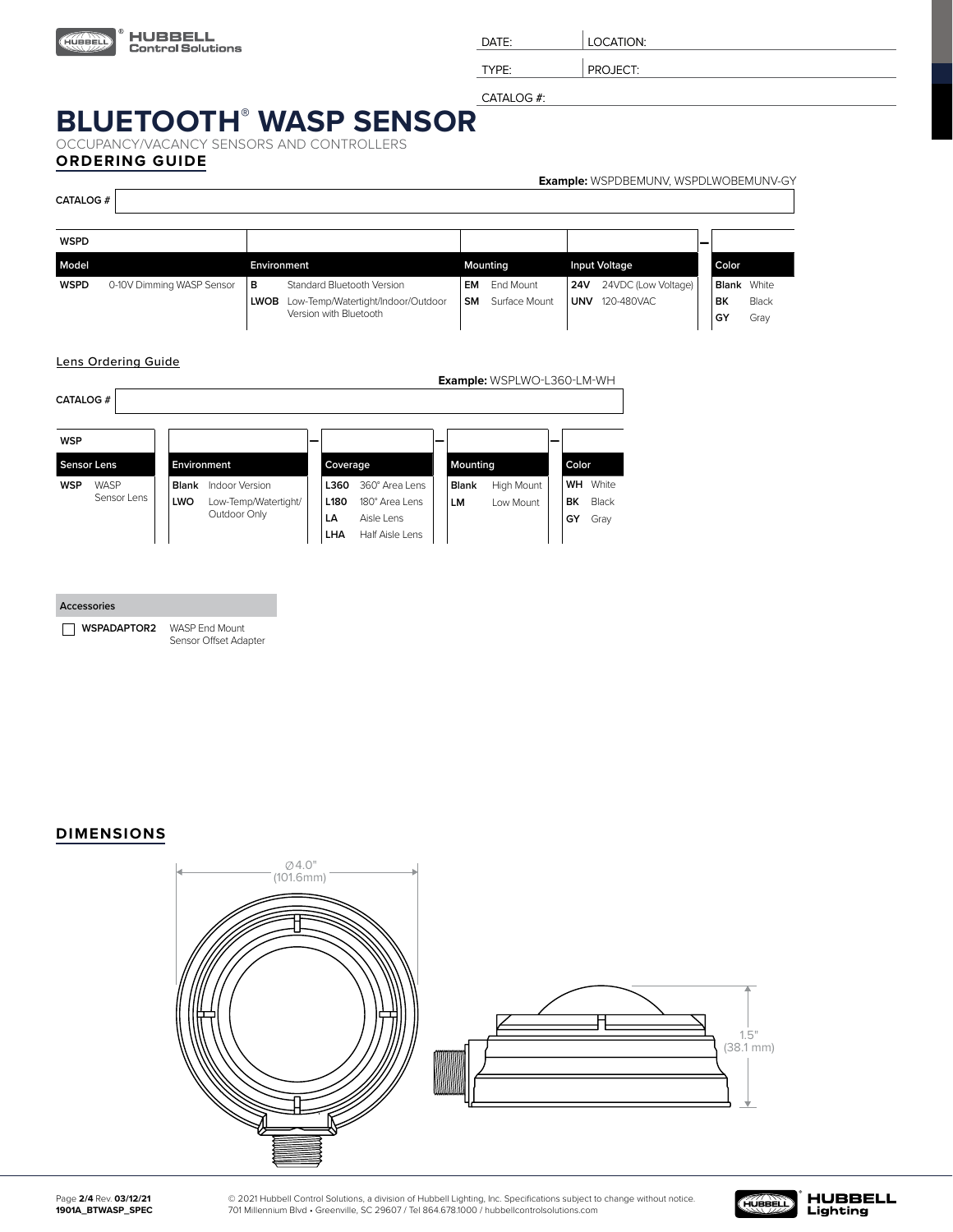

DATE: | LOCATION:

TYPE: | PROJECT:

CATALOG #:

# **BLUETOOTH®  [WASP SENSOR](https://www.hubbell.com/hubbellcontrolsolutions/en/p/4562349)**

OCCUPANCY/VACANCY SENSORS AND CONTROLLERS **ORDERING GUIDE**

| <b>CATALOG #</b> |                           |                  |                                                                                            |                 |                            |                          | <b>Example:</b> WSPDBEMUNV, WSPDLWOBEMUNV-GY |                                |               |
|------------------|---------------------------|------------------|--------------------------------------------------------------------------------------------|-----------------|----------------------------|--------------------------|----------------------------------------------|--------------------------------|---------------|
| <b>WSPD</b>      |                           |                  |                                                                                            |                 |                            |                          |                                              |                                |               |
| Model            |                           | Environment      |                                                                                            |                 | Mounting                   |                          | <b>Input Voltage</b>                         | Color                          |               |
| <b>WSPD</b>      | 0-10V Dimming WASP Sensor | в<br><b>LWOB</b> | Standard Bluetooth Version<br>Low-Temp/Watertight/Indoor/Outdoor<br>Version with Bluetooth | EM<br><b>SM</b> | End Mount<br>Surface Mount | <b>24V</b><br><b>UNV</b> | 24VDC (Low Voltage)<br>120-480VAC            | <b>Blank</b> White<br>BK<br>GY | Black<br>Gray |

#### Lens Ordering Guide

| <b>CATALOG #</b>   |             |              |                      |   |                  |                 |              | <b>Example:</b> WSPLWO-L360-LM-WH |  |       |       |
|--------------------|-------------|--------------|----------------------|---|------------------|-----------------|--------------|-----------------------------------|--|-------|-------|
|                    |             |              |                      |   |                  |                 |              |                                   |  |       |       |
| <b>WSP</b>         |             |              |                      | - |                  |                 |              |                                   |  |       |       |
| <b>Sensor Lens</b> |             |              | Environment          |   | Coverage         |                 | Mounting     |                                   |  | Color |       |
| <b>WSP</b>         | <b>WASP</b> | <b>Blank</b> | Indoor Version       |   | L360             | 360° Area Lens  | <b>Blank</b> | High Mount                        |  | WH    | White |
|                    | Sensor Lens | LWO          | Low-Temp/Watertight/ |   | L <sub>180</sub> | 180° Area Lens  | LM           | I ow Mount                        |  | ВK    | Black |
|                    |             |              | Outdoor Only         |   | LA               | Aisle Lens      |              |                                   |  | GY    | Gray  |
|                    |             |              |                      |   | LHA              | Half Aisle Lens |              |                                   |  |       |       |

| <b>Accessories</b>     |  |
|------------------------|--|
| WSPADAPTOR2 WASP End I |  |

**Mount** Sensor Offset Adapter

#### **DIMENSIONS**



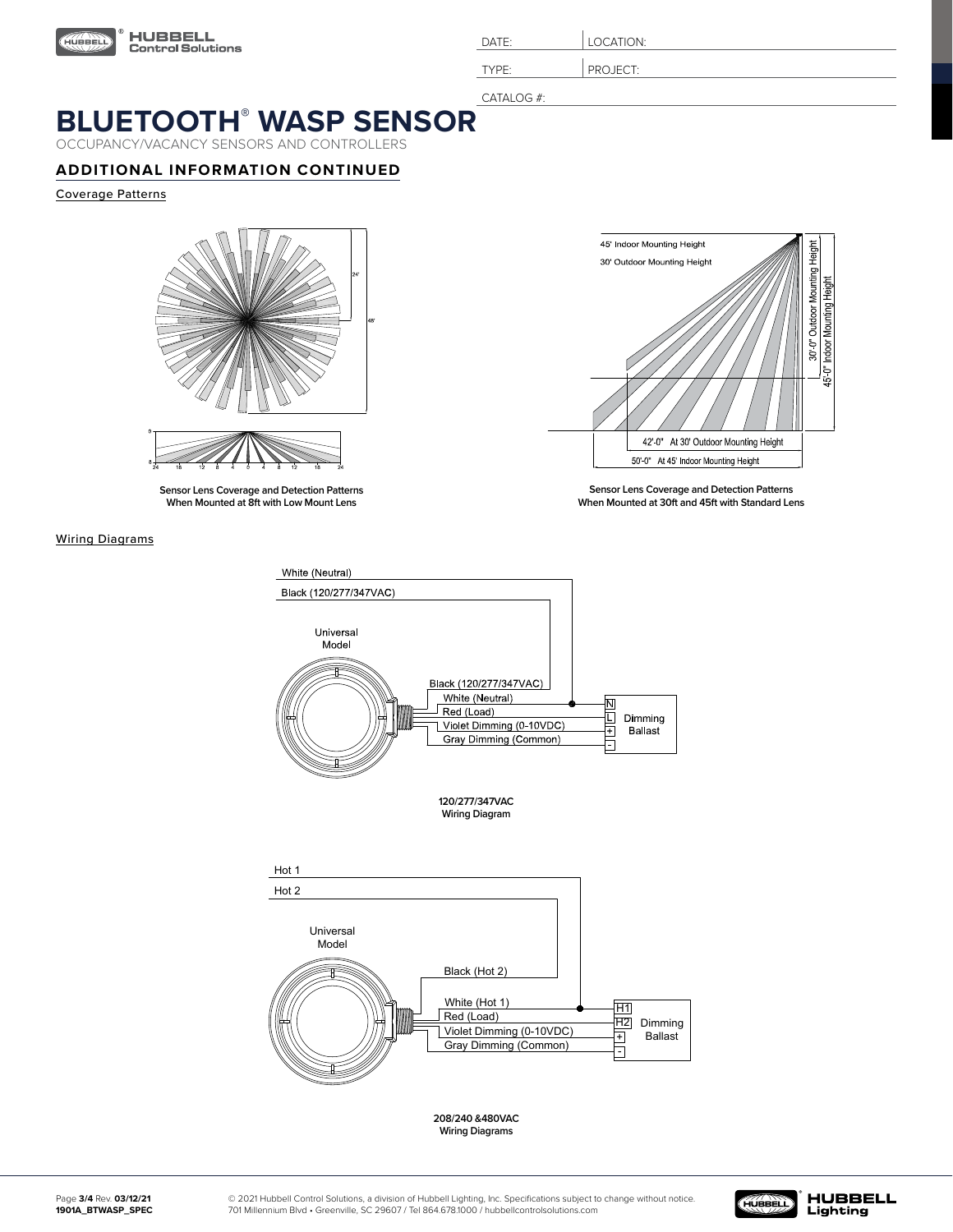

| $\mathsf{DATF}^1$ | LOCATION:         |
|-------------------|-------------------|
| TVDE.             | IFCT.<br>◡◡ ∟◡ ╷. |

CATALOG #:

## **BLUETOOTH®  [WASP SENSOR](https://www.hubbell.com/hubbellcontrolsolutions/en/p/4562349)**

OCCUPANCY/VACANCY SENSORS AND CONTROLLERS

### **ADDITIONAL INFORMATION CONTINUED**

Coverage Patterns



**Sensor Lens Coverage and Detection Patterns When Mounted at 8ft with Low Mount Lens**

#### Wiring Diagrams



**Sensor Lens Coverage and Detection Patterns When Mounted at 30ft and 45ft with Standard Lens**



**Wiring Diagram**



**208/240 &480VAC Wiring Diagrams**